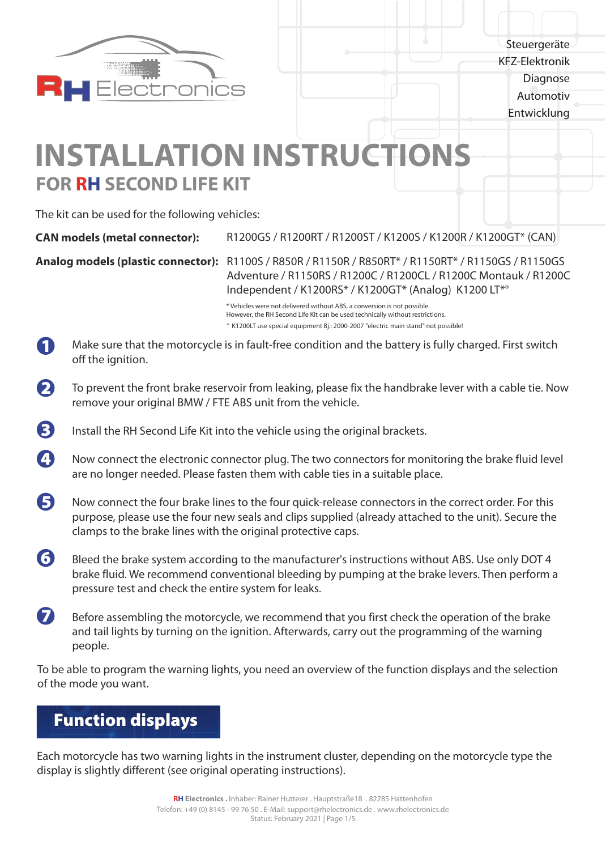

**Steuergeräte** KFZ-Elektronik Diagnose Automotiv Entwicklung

# **FOR RH SECOND LIFE KIT INSTALLATION INSTRUCTIONS**

The kit can be used for the following vehicles:

**Analog models (plastic connector):** R1100S / R850R / R1150R / R850RT\* / R1150RT\* / R1150GS / R1150GS Adventure / R1150RS / R1200C / R1200CL / R1200C Montauk / R1200C Independent / K1200RS\* / K1200GT\* (Analog) K1200 LT\*°

> \* Vehicles were not delivered without ABS, a conversion is not possible. However, the RH Second Life Kit can be used technically without restrictions. ° K1200LT use special equipment Bj.: 2000-2007 "electric main stand" not possible!

- Make sure that the motorcycle is in fault-free condition and the battery is fully charged. First switch off the ignition. 6
- To prevent the front brake reservoir from leaking, please fix the handbrake lever with a cable tie. Now remove your original BMW / FTE ABS unit from the vehicle.  $\boldsymbol{\Omega}$
- Install the RH Second Life Kit into the vehicle using the original brackets. 6
- Now connect the electronic connector plug. The two connectors for monitoring the brake fluid level are no longer needed. Please fasten them with cable ties in a suitable place.  $\boldsymbol{\Omega}$
- Now connect the four brake lines to the four quick-release connectors in the correct order. For this purpose, please use the four new seals and clips supplied (already attached to the unit). Secure the clamps to the brake lines with the original protective caps. 6
- Bleed the brake system according to the manufacturer's instructions without ABS. Use only DOT 4 brake fluid. We recommend conventional bleeding by pumping at the brake levers. Then perform a pressure test and check the entire system for leaks. 6
- Before assembling the motorcycle, we recommend that you first check the operation of the brake and tail lights by turning on the ignition. Afterwards, carry out the programming of the warning people. 7

To be able to program the warning lights, you need an overview of the function displays and the selection of the mode you want.

# Function displays

Each motorcycle has two warning lights in the instrument cluster, depending on the motorcycle type the display is slightly different (see original operating instructions).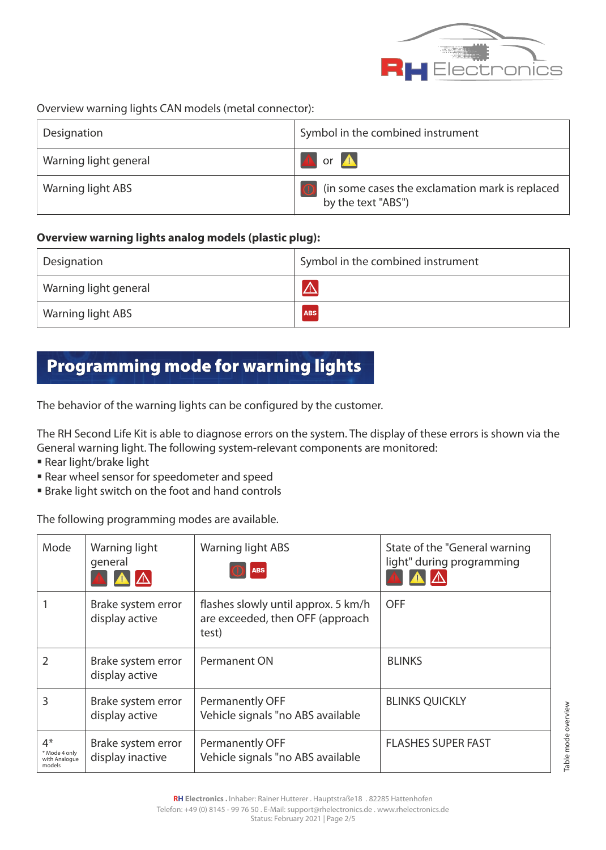

#### Overview warning lights CAN models (metal connector):

| Designation           | Symbol in the combined instrument                                     |
|-----------------------|-----------------------------------------------------------------------|
| Warning light general | A or A                                                                |
| Warning light ABS     | (in some cases the exclamation mark is replaced<br>by the text "ABS") |

#### **Overview warning lights analog models (plastic plug):**

| <sup>1</sup> Designation | Symbol in the combined instrument |
|--------------------------|-----------------------------------|
| Warning light general    | $\Delta$                          |
| Warning light ABS        | <b>ABS</b>                        |

### Programming mode for warning lights

The behavior of the warning lights can be configured by the customer.

The RH Second Life Kit is able to diagnose errors on the system. The display of these errors is shown via the General warning light. The following system-relevant components are monitored:

- § Rear light/brake light
- § Rear wheel sensor for speedometer and speed
- § Brake light switch on the foot and hand controls

The following programming modes are available.

| Mode                                             | Warning light<br>general               | Warning light ABS<br><b>ABS</b>                                                  | State of the "General warning"<br>light" during programming |
|--------------------------------------------------|----------------------------------------|----------------------------------------------------------------------------------|-------------------------------------------------------------|
|                                                  | Brake system error<br>display active   | flashes slowly until approx. 5 km/h<br>are exceeded, then OFF (approach<br>test) | <b>OFF</b>                                                  |
| 2                                                | Brake system error<br>display active   | Permanent ON                                                                     | <b>BLINKS</b>                                               |
| 3                                                | Brake system error<br>display active   | <b>Permanently OFF</b><br>Vehicle signals "no ABS available                      | <b>BLINKS QUICKLY</b>                                       |
| $4*$<br>* Mode 4 only<br>with Analogue<br>models | Brake system error<br>display inactive | Permanently OFF<br>Vehicle signals "no ABS available                             | <b>FLASHES SUPER FAST</b>                                   |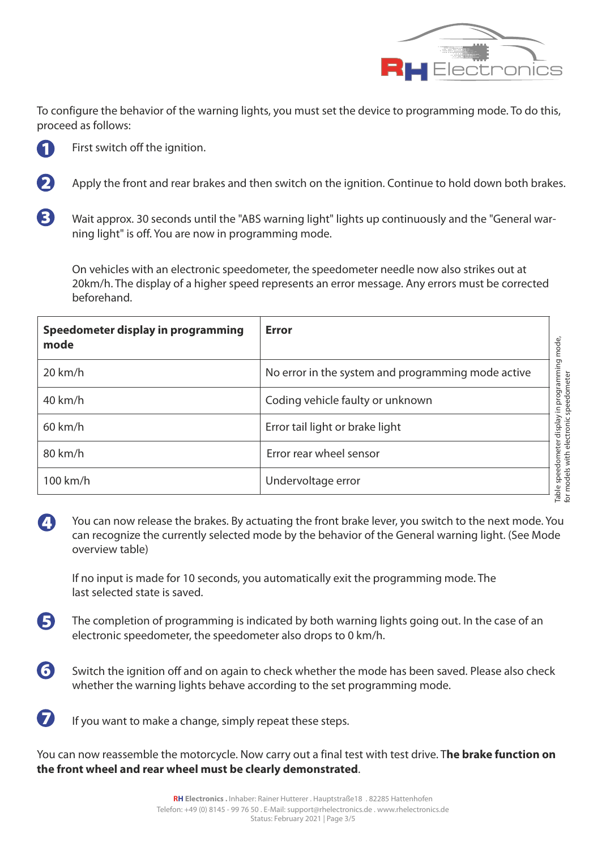

To configure the behavior of the warning lights, you must set the device to programming mode. To do this, proceed as follows:



First switch off the ignition.

- Apply the front and rear brakes and then switch on the ignition. Continue to hold down both brakes. 2
- Wait approx. 30 seconds until the "ABS warning light" lights up continuously and the "General warning light" is off. You are now in programming mode. 8

On vehicles with an electronic speedometer, the speedometer needle now also strikes out at 20km/h. The display of a higher speed represents an error message. Any errors must be corrected beforehand.

| $20 \text{ km/h}$<br>No error in the system and programming mode active              |
|--------------------------------------------------------------------------------------|
|                                                                                      |
| y in programming i<br>: speedometer<br>$40$ km/h<br>Coding vehicle faulty or unknown |
| display<br>$60$ km/h<br>Error tail light or brake light                              |
| Error rear wheel sensor<br>80 km/h                                                   |
| iable speedometer<br>for models with ele<br>100 km/h<br>Undervoltage error           |

You can now release the brakes. By actuating the front brake lever, you switch to the next mode. You can recognize the currently selected mode by the behavior of the General warning light. (See Mode overview table)  $\begin{array}{c} \begin{array}{c} \end{array} \end{array}$ 

If no input is made for 10 seconds, you automatically exit the programming mode. The last selected state is saved.

The completion of programming is indicated by both warning lights going out. In the case of an electronic speedometer, the speedometer also drops to 0 km/h. 5

- Switch the ignition off and on again to check whether the mode has been saved. Please also check whether the warning lights behave according to the set programming mode. 6
- If you want to make a change, simply repeat these steps. 7

You can now reassemble the motorcycle. Now carry out a final test with test drive. T**he brake function on the front wheel and rear wheel must be clearly demonstrated**.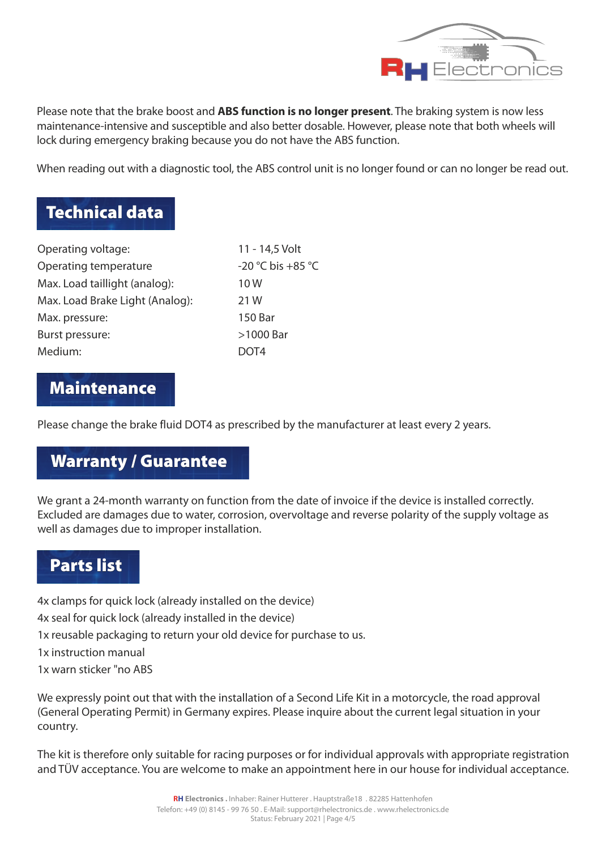

Please note that the brake boost and **ABS function is no longer present**. The braking system is now less maintenance-intensive and susceptible and also better dosable. However, please note that both wheels will lock during emergency braking because you do not have the ABS function.

When reading out with a diagnostic tool, the ABS control unit is no longer found or can no longer be read out.

## Technical data

| 11 - 14,5 Volt    |
|-------------------|
| -20 °C bis +85 °C |
| 10W               |
| 21 W              |
| 150 Bar           |
| >1000 Bar         |
| DOT4              |
|                   |

#### Maintenance

Please change the brake fluid DOT4 as prescribed by the manufacturer at least every 2 years.

### Warranty / Guarantee

We grant a 24-month warranty on function from the date of invoice if the device is installed correctly. Excluded are damages due to water, corrosion, overvoltage and reverse polarity of the supply voltage as well as damages due to improper installation.

#### Parts list

4x clamps for quick lock (already installed on the device)

4x seal for quick lock (already installed in the device)

1x reusable packaging to return your old device for purchase to us.

1x instruction manual

1x warn sticker "no ABS

We expressly point out that with the installation of a Second Life Kit in a motorcycle, the road approval (General Operating Permit) in Germany expires. Please inquire about the current legal situation in your country.

The kit is therefore only suitable for racing purposes or for individual approvals with appropriate registration and TÜV acceptance. You are welcome to make an appointment here in our house for individual acceptance.